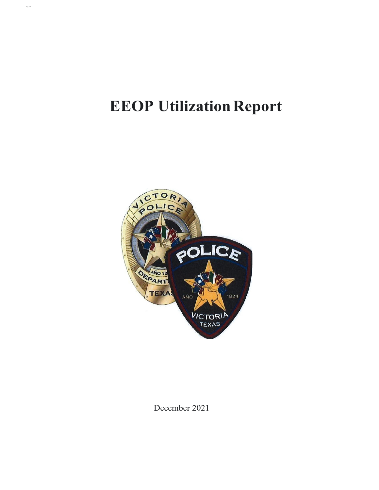# **EEOP Utilization Report**

.,..



December 2021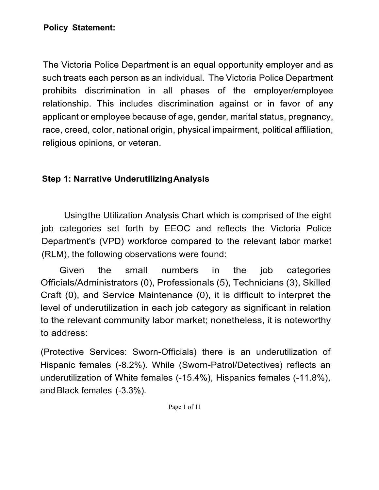The Victoria Police Department is an equal opportunity employer and as such treats each person as an individual. The Victoria Police Department prohibits discrimination in all phases of the employer/employee relationship. This includes discrimination against or in favor of any applicant or employee because of age, gender, marital status, pregnancy, race, creed, color, national origin, physical impairment, political affiliation, religious opinions, or veteran.

#### **Step 1: Narrative UnderutilizingAnalysis**

Usingthe Utilization Analysis Chart which is comprised of the eight job categories set forth by EEOC and reflects the Victoria Police Department's (VPD) workforce compared to the relevant labor market (RLM), the following observations were found:

Given the small numbers in the job categories Officials/Administrators (0), Professionals (5), Technicians (3), Skilled Craft (0), and Service Maintenance (0), it is difficult to interpret the level of underutilization in each job category as significant in relation to the relevant community labor market; nonetheless, it is noteworthy to address:

(Protective Services: Sworn-Officials) there is an underutilization of Hispanic females (-8.2%). While (Sworn-Patrol/Detectives) reflects an underutilization of White females (-15.4%), Hispanics females (-11.8%), andBlack females (-3.3%).

Page 1 of 11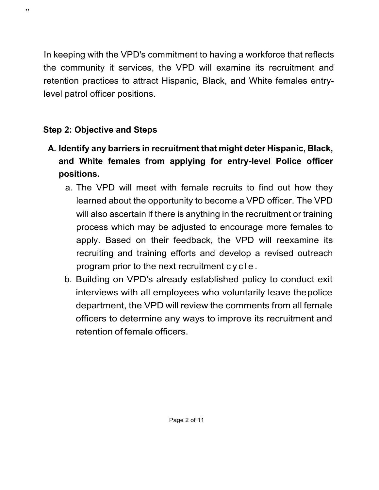In keeping with the VPD's commitment to having a workforce that reflects the community it services, the VPD will examine its recruitment and retention practices to attract Hispanic, Black, and White females entrylevel patrol officer positions.

### **Step 2: Objective and Steps**

,,

- **A. Identify any barriers in recruitment that might deter Hispanic, Black, and White females from applying for entry-level Police officer positions.**
	- a. The VPD will meet with female recruits to find out how they learned about the opportunity to become a VPD officer. The VPD will also ascertain if there is anything in the recruitment or training process which may be adjusted to encourage more females to apply. Based on their feedback, the VPD will reexamine its recruiting and training efforts and develop a revised outreach program prior to the next recruitment cycle .
	- b. Building on VPD's already established policy to conduct exit interviews with all employees who voluntarily leave thepolice department, the VPD will review the comments from all female officers to determine any ways to improve its recruitment and retention of female officers.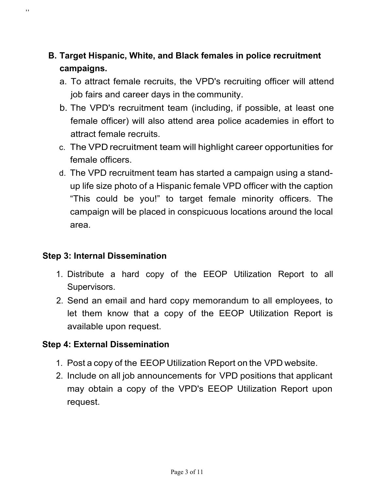### **B. Target Hispanic, White, and Black females in police recruitment campaigns.**

- a. To attract female recruits, the VPD's recruiting officer will attend job fairs and career days in the community.
- b. The VPD's recruitment team (including, if possible, at least one female officer) will also attend area police academies in effort to attract female recruits.
- c. The VPD recruitment team will highlight career opportunities for female officers.
- d. The VPD recruitment team has started a campaign using a standup life size photo of a Hispanic female VPD officer with the caption "This could be you!" to target female minority officers. The campaign will be placed in conspicuous locations around the local area.

#### **Step 3: Internal Dissemination**

,,

- 1. Distribute a hard copy of the EEOP Utilization Report to all Supervisors.
- 2. Send an email and hard copy memorandum to all employees, to let them know that a copy of the EEOP Utilization Report is available upon request.

#### **Step 4: External Dissemination**

- 1. Post a copy of the EEOP Utilization Report on the VPD website.
- 2. Include on all job announcements for VPD positions that applicant may obtain a copy of the VPD's EEOP Utilization Report upon request.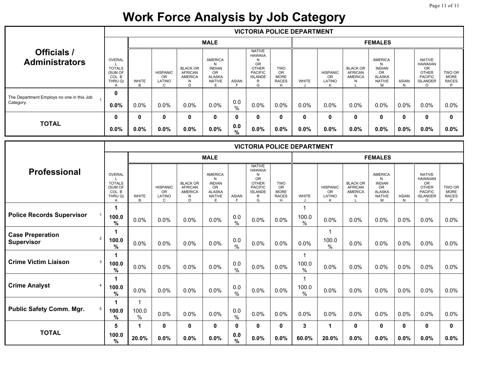## **Work Force Analysis by Job Category**

|                                             |                                                                |              |                                      |                                                               |                                                                                     |              |                                                                                                                 |                                                 | <b>VICTORIA POLICE DEPARTMENT</b> |                                        |                                                     |                                                                                   |                   |                                                                                                    |                                            |
|---------------------------------------------|----------------------------------------------------------------|--------------|--------------------------------------|---------------------------------------------------------------|-------------------------------------------------------------------------------------|--------------|-----------------------------------------------------------------------------------------------------------------|-------------------------------------------------|-----------------------------------|----------------------------------------|-----------------------------------------------------|-----------------------------------------------------------------------------------|-------------------|----------------------------------------------------------------------------------------------------|--------------------------------------------|
|                                             |                                                                |              |                                      |                                                               | <b>MALE</b>                                                                         |              |                                                                                                                 |                                                 |                                   |                                        |                                                     | <b>FEMALES</b>                                                                    |                   |                                                                                                    |                                            |
| <b>Officials /</b><br><b>Administrators</b> | <b>OVERAL</b><br><b>TOTALS</b><br>(SUM OF<br>COL. B<br>THRU Q) | <b>WHITE</b> | <b>HISPANIC</b><br>OR<br>LATINO<br>C | <b>BLACK OR</b><br><b>AFRICAN</b><br><b>AMERICA</b><br>N<br>D | <b>AMERICA</b><br>N<br><b>INDIAN</b><br><b>OR</b><br><b>ALASKA</b><br><b>NATIVE</b> | <b>ASIAN</b> | <b>NATIVE</b><br><b>HAWAIIA</b><br>N<br><b>OR</b><br><b>OTHER</b><br><b>PACIFIC</b><br><b>ISLANDE</b><br>R<br>G | <b>TWO</b><br>OR<br><b>MORE</b><br><b>RACES</b> | <b>WHITE</b>                      | <b>HISPANIC</b><br><b>OR</b><br>LATINO | <b>BLACK OR</b><br><b>AFRICAN</b><br><b>AMERICA</b> | <b>AMERICA</b><br>N<br><b>INDIAN</b><br>OR<br><b>ALASKA</b><br><b>NATIVE</b><br>м | <b>ASIAN</b><br>N | <b>NATIVE</b><br><b>HAWAIIAN</b><br><b>OR</b><br><b>OTHER</b><br><b>PACIFIC</b><br><b>ISLANDER</b> | TWO OR<br><b>MORE</b><br><b>RACES</b><br>D |
| The Department Employs no one in this Job   | 0                                                              |              |                                      |                                                               |                                                                                     |              |                                                                                                                 |                                                 |                                   |                                        |                                                     |                                                                                   |                   |                                                                                                    |                                            |
| Category.                                   | 0.0%                                                           | 0.0%         | $0.0\%$                              | 0.0%                                                          | $0.0\%$                                                                             | 0.0<br>%     | $0.0\%$                                                                                                         | $0.0\%$                                         | 0.0%                              | 0.0%                                   | 0.0%                                                | $0.0\%$                                                                           | $0.0\%$           | 0.0%                                                                                               | $0.0\%$                                    |
|                                             | 0                                                              |              | $\mathbf{0}$                         | $\mathbf{0}$                                                  | 0                                                                                   | 0            | $\mathbf{0}$                                                                                                    | 0                                               | 0                                 | 0                                      | $\mathbf{0}$                                        | $\mathbf{0}$                                                                      | $\bf{0}$          | $\bf{0}$                                                                                           | $\mathbf{0}$                               |
| <b>TOTAL</b>                                | $0.0\%$                                                        | $0.0\%$      | $0.0\%$                              | $0.0\%$                                                       | $0.0\%$                                                                             | 0.0<br>%     | $0.0\%$                                                                                                         | $0.0\%$                                         | 0.0%                              | $0.0\%$                                | $0.0\%$                                             | $0.0\%$                                                                           | $0.0\%$           | $0.0\%$                                                                                            | $0.0\%$                                    |

|                                                                |                                                                                  |                   |                                              |                                                               |                                                                                   |                      |                                                                                                                 |                                                             | <b>VICTORIA POLICE DEPARTMENT</b> |                                             |                                                          |                                                                                    |                   |                                                                                                        |                                            |
|----------------------------------------------------------------|----------------------------------------------------------------------------------|-------------------|----------------------------------------------|---------------------------------------------------------------|-----------------------------------------------------------------------------------|----------------------|-----------------------------------------------------------------------------------------------------------------|-------------------------------------------------------------|-----------------------------------|---------------------------------------------|----------------------------------------------------------|------------------------------------------------------------------------------------|-------------------|--------------------------------------------------------------------------------------------------------|--------------------------------------------|
|                                                                |                                                                                  |                   |                                              |                                                               | <b>MALE</b>                                                                       |                      |                                                                                                                 |                                                             |                                   |                                             |                                                          | <b>FEMALES</b>                                                                     |                   |                                                                                                        |                                            |
| <b>Professional</b>                                            | <b>OVERAL</b><br><b>TOTALS</b><br>(SUM OF<br>COL. B<br>THRU Q)<br>$\overline{A}$ | <b>WHITE</b><br>R | <b>HISPANIC</b><br><b>OR</b><br>LATINO<br>C. | <b>BLACK OR</b><br><b>AFRICAN</b><br><b>AMERICA</b><br>N<br>D | <b>AMERICA</b><br>N<br><b>INDIAN</b><br>OR<br><b>ALASKA</b><br><b>NATIVE</b><br>E | <b>ASIAN</b><br>E    | <b>NATIVE</b><br><b>HAWAIIA</b><br>N<br><b>OR</b><br><b>OTHER</b><br><b>PACIFIC</b><br><b>ISLANDE</b><br>R<br>G | <b>TWO</b><br><b>OR</b><br><b>MORE</b><br><b>RACES</b><br>H | <b>WHITE</b>                      | <b>HISPANIC</b><br><b>OR</b><br>LATINO<br>ĸ | <b>BLACK OR</b><br><b>AFRICAN</b><br><b>AMERICA</b><br>N | <b>AMERICA</b><br>N<br><b>INDIAN</b><br>OR.<br><b>ALASKA</b><br><b>NATIVE</b><br>м | <b>ASIAN</b><br>N | <b>NATIVE</b><br><b>HAWAIIAN</b><br>OR<br><b>OTHER</b><br><b>PACIFIC</b><br><b>ISLANDER</b><br>$\circ$ | TWO OR<br><b>MORE</b><br><b>RACES</b><br>P |
| <b>Police Records Supervisor</b>                               | 100.0<br>$\%$                                                                    | 0.0%              | 0.0%                                         | 0.0%                                                          | 0.0%                                                                              | 0.0<br>$\frac{0}{0}$ | 0.0%                                                                                                            | 0.0%                                                        | 100.0<br>$\frac{0}{0}$            | 0.0%                                        | 0.0%                                                     | 0.0%                                                                               | 0.0%              | 0.0%                                                                                                   | 0.0%                                       |
| <b>Case Preperation</b><br>$\overline{2}$<br><b>Supervisor</b> | 1<br>100.0<br>$\%$                                                               | 0.0%              | 0.0%                                         | 0.0%                                                          | 0.0%                                                                              | 0.0<br>$\frac{0}{0}$ | 0.0%                                                                                                            | 0.0%                                                        | 0.0%                              | 1<br>100.0<br>$\frac{0}{0}$                 | 0.0%                                                     | 0.0%                                                                               | 0.0%              | 0.0%                                                                                                   | 0.0%                                       |
| <b>Crime Victim Liaison</b><br>3                               | 1<br>100.0<br>$\%$                                                               | 0.0%              | 0.0%                                         | 0.0%                                                          | 0.0%                                                                              | 0.0<br>$\frac{0}{0}$ | 0.0%                                                                                                            | 0.0%                                                        | 100.0<br>$\frac{0}{0}$            | 0.0%                                        | 0.0%                                                     | 0.0%                                                                               | 0.0%              | 0.0%                                                                                                   | 0.0%                                       |
| <b>Crime Analyst</b>                                           | 100.0<br>%                                                                       | 0.0%              | 0.0%                                         | 0.0%                                                          | 0.0%                                                                              | 0.0<br>$\frac{0}{0}$ | 0.0%                                                                                                            | 0.0%                                                        | 100.0<br>$\frac{0}{0}$            | 0.0%                                        | 0.0%                                                     | 0.0%                                                                               | 0.0%              | 0.0%                                                                                                   | 0.0%                                       |
| <b>Public Safety Comm. Mgr.</b><br>5                           | 100.0<br>$\%$                                                                    | 100.0<br>$\%$     | 0.0%                                         | 0.0%                                                          | 0.0%                                                                              | 0.0<br>$\frac{0}{0}$ | 0.0%                                                                                                            | 0.0%                                                        | 0.0%                              | 0.0%                                        | 0.0%                                                     | 0.0%                                                                               | 0.0%              | 0.0%                                                                                                   | 0.0%                                       |
| <b>TOTAL</b>                                                   | 5<br>100.0<br>$\%$                                                               | 20.0%             | 0<br>0.0%                                    | 0<br>0.0%                                                     | 0<br>0.0%                                                                         | 0<br>0.0<br>%        | 0<br>0.0%                                                                                                       | 0<br>0.0%                                                   | 3<br>60.0%                        | 1<br>20.0%                                  | $\mathbf 0$<br>0.0%                                      | $\mathbf 0$<br>0.0%                                                                | $\bf{0}$<br>0.0%  | 0<br>0.0%                                                                                              | 0<br>0.0%                                  |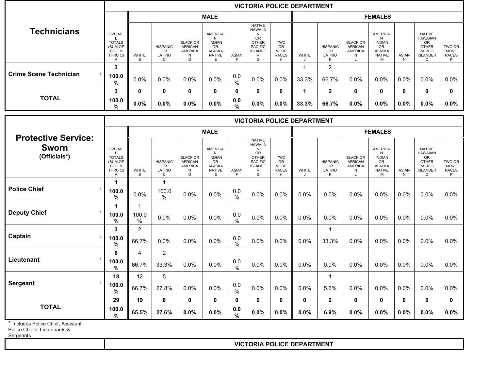|                                               |                                                                              |                            |                                                        |                                                                       |                                                                                          |                      |                                                                                                          |                                                             | <b>VICTORIA POLICE DEPARTMENT</b> |                                             |                                                                          |                                                                                   |                              |                                                                                                        |                                            |
|-----------------------------------------------|------------------------------------------------------------------------------|----------------------------|--------------------------------------------------------|-----------------------------------------------------------------------|------------------------------------------------------------------------------------------|----------------------|----------------------------------------------------------------------------------------------------------|-------------------------------------------------------------|-----------------------------------|---------------------------------------------|--------------------------------------------------------------------------|-----------------------------------------------------------------------------------|------------------------------|--------------------------------------------------------------------------------------------------------|--------------------------------------------|
|                                               |                                                                              |                            |                                                        |                                                                       | <b>MALE</b>                                                                              |                      |                                                                                                          |                                                             |                                   |                                             |                                                                          | <b>FEMALES</b>                                                                    |                              |                                                                                                        |                                            |
| <b>Technicians</b>                            | <b>OVERAL</b><br>L<br><b>TOTALS</b><br>(SUM OF<br>COL. B<br>THRU Q)<br>A     | WHITE<br>B                 | <b>HISPANIC</b><br><b>OR</b><br>LATINO<br>$\mathsf{C}$ | <b>BLACK OR</b><br><b>AFRICAN</b><br>AMERICA<br>${\sf N}$<br>D        | AMERICA<br>N<br><b>INDIAN</b><br>OR<br><b>ALASKA</b><br><b>NATIVE</b><br>E               | <b>ASIAN</b><br>E    | <b>NATIVE</b><br><b>HAWAIIA</b><br>N<br>OR<br><b>OTHER</b><br><b>PACIFIC</b><br><b>ISLANDE</b><br>R<br>G | <b>TWO</b><br>OR<br><b>MORE</b><br><b>RACES</b><br>H        | <b>WHITE</b>                      | <b>HISPANIC</b><br>OR<br>LATINO<br>K        | <b>BLACK OR</b><br><b>AFRICAN</b><br><b>AMERICA</b><br>N                 | <b>AMERICA</b><br>N<br><b>INDIAN</b><br>OR<br><b>ALASKA</b><br><b>NATIVE</b><br>M | <b>ASIAN</b><br>$\mathsf{N}$ | <b>NATIVE</b><br><b>HAWAIIAN</b><br>OR<br><b>OTHER</b><br><b>PACIFIC</b><br><b>ISLANDER</b><br>$\circ$ | TWO OR<br><b>MORE</b><br><b>RACES</b><br>P |
|                                               | 3                                                                            |                            |                                                        |                                                                       |                                                                                          |                      |                                                                                                          |                                                             | $\mathbf{1}$                      | 2                                           |                                                                          |                                                                                   |                              |                                                                                                        |                                            |
| <b>Crime Scene Technician</b><br>$\mathbf{1}$ | 100.0<br>%                                                                   | 0.0%                       | 0.0%                                                   | 0.0%                                                                  | 0.0%                                                                                     | 0.0<br>$\%$          | 0.0%                                                                                                     | 0.0%                                                        | 33.3%                             | 66.7%                                       | 0.0%                                                                     | 0.0%                                                                              | 0.0%                         | 0.0%                                                                                                   | 0.0%                                       |
|                                               | 3                                                                            | $\mathbf{0}$               | $\mathbf{0}$                                           | $\mathbf{0}$                                                          | $\mathbf{0}$                                                                             | 0                    | $\mathbf{0}$                                                                                             | 0                                                           | $\mathbf 1$                       | $\mathbf{2}$                                | $\mathbf{0}$                                                             | $\mathbf{0}$                                                                      | $\mathbf 0$                  | 0                                                                                                      | $\bf{0}$                                   |
| <b>TOTAL</b>                                  | 100.0<br>%                                                                   | 0.0%                       | 0.0%                                                   | 0.0%                                                                  | 0.0%                                                                                     | 0.0<br>$\frac{9}{6}$ | 0.0%                                                                                                     | 0.0%                                                        | 33.3%                             | 66.7%                                       | 0.0%                                                                     | 0.0%                                                                              | 0.0%                         | 0.0%                                                                                                   | 0.0%                                       |
|                                               |                                                                              |                            |                                                        |                                                                       |                                                                                          |                      |                                                                                                          |                                                             | <b>VICTORIA POLICE DEPARTMENT</b> |                                             |                                                                          |                                                                                   |                              |                                                                                                        |                                            |
|                                               |                                                                              |                            |                                                        |                                                                       | <b>MALE</b>                                                                              |                      |                                                                                                          |                                                             |                                   |                                             |                                                                          | <b>FEMALES</b>                                                                    |                              |                                                                                                        |                                            |
| <b>Protective Service:</b>                    |                                                                              |                            |                                                        |                                                                       |                                                                                          |                      | <b>NATIVE</b><br><b>HAWAIIA</b>                                                                          |                                                             |                                   |                                             |                                                                          |                                                                                   |                              |                                                                                                        |                                            |
| <b>Sworn</b><br>(Officials*)                  | OVERAL<br>$\mathbf{L}$<br><b>TOTALS</b><br>(SUM OF<br>COL. B<br>THRU Q)<br>Α | WHITE<br>B                 | <b>HISPANIC</b><br><b>OR</b><br>LATINO<br>C            | <b>BLACK OR</b><br><b>AFRICAN</b><br><b>AMERICA</b><br>${\sf N}$<br>D | <b>AMERICA</b><br>N<br><b>INDIAN</b><br><b>OR</b><br><b>ALASKA</b><br><b>NATIVE</b><br>Е | <b>ASIAN</b><br>F    | N<br>OR<br><b>OTHER</b><br><b>PACIFIC</b><br><b>ISLANDE</b><br>R<br>G                                    | <b>TWO</b><br><b>OR</b><br><b>MORE</b><br><b>RACES</b><br>H | <b>WHITE</b>                      | <b>HISPANIC</b><br><b>OR</b><br>LATINO<br>K | <b>BLACK OR</b><br><b>AFRICAN</b><br><b>AMERICA</b><br>N<br>$\mathbf{I}$ | <b>AMERICA</b><br>N<br><b>INDIAN</b><br>OR<br><b>ALASKA</b><br><b>NATIVE</b><br>м | <b>ASIAN</b><br>N            | <b>NATIVE</b><br><b>HAWAIIAN</b><br>OR<br><b>OTHER</b><br><b>PACIFIC</b><br><b>ISLANDER</b><br>$\circ$ | TWO OR<br><b>MORE</b><br><b>RACES</b><br>P |
| <b>Police Chief</b><br>$\overline{1}$         | 1<br>100.0<br>%                                                              | 0.0%                       | $\mathbf{1}$<br>100.0<br>$\%$                          | 0.0%                                                                  | 0.0%                                                                                     | 0.0<br>$\frac{0}{0}$ | 0.0%                                                                                                     | 0.0%                                                        | 0.0%                              | 0.0%                                        | 0.0%                                                                     | 0.0%                                                                              | 0.0%                         | 0.0%                                                                                                   | 0.0%                                       |
| <b>Deputy Chief</b><br>$\overline{2}$         | 1<br>100.0<br>$\%$                                                           | $\mathbf{1}$<br>100.0<br>% | 0.0%                                                   | 0.0%                                                                  | 0.0%                                                                                     | 0.0<br>$\frac{0}{0}$ | 0.0%                                                                                                     | 0.0%                                                        | 0.0%                              | 0.0%                                        | 0.0%                                                                     | 0.0%                                                                              | 0.0%                         | 0.0%                                                                                                   | 0.0%                                       |
| Captain<br>3                                  | 3<br>100.0<br>$\%$                                                           | $\overline{2}$<br>66.7%    | 0.0%                                                   | 0.0%                                                                  | 0.0%                                                                                     | 0.0<br>$\frac{0}{0}$ | 0.0%                                                                                                     | 0.0%                                                        | 0.0%                              | $\mathbf{1}$<br>33.3%                       | 0.0%                                                                     | 0.0%                                                                              | 0.0%                         | 0.0%                                                                                                   | 0.0%                                       |
| Lieutenant<br>$\sqrt{4}$                      | 6<br>100.0<br>$\%$                                                           | $\overline{4}$<br>66.7%    | $\overline{c}$<br>33.3%                                | 0.0%                                                                  | 0.0%                                                                                     | 0.0<br>$\%$          | 0.0%                                                                                                     | 0.0%                                                        | 0.0%                              | 0.0%                                        | 0.0%                                                                     | 0.0%                                                                              | 0.0%                         | 0.0%                                                                                                   | 0.0%                                       |
|                                               | 18                                                                           | 12                         | 5                                                      |                                                                       |                                                                                          |                      |                                                                                                          |                                                             |                                   | $\mathbf{1}$                                |                                                                          |                                                                                   |                              |                                                                                                        |                                            |
| <b>Sergeant</b><br>5                          | 100.0<br>$\%$                                                                | 66.7%                      | 27.8%                                                  | 0.0%                                                                  | 0.0%                                                                                     | 0.0<br>$\frac{0}{0}$ | $0.0\%$                                                                                                  | 0.0%                                                        | 0.0%                              | 5.6%                                        | 0.0%                                                                     | 0.0%                                                                              | 0.0%                         | 0.0%                                                                                                   | 0.0%                                       |
|                                               | 29                                                                           | 19                         | 8                                                      | $\pmb{0}$                                                             | $\mathbf{0}$                                                                             | 0                    | $\mathbf{0}$                                                                                             | 0                                                           | 0                                 | $\mathbf{2}$                                | $\mathbf{0}$                                                             | $\mathbf{0}$                                                                      | 0                            | 0                                                                                                      | $\mathbf{0}$                               |
| <b>TOTAL</b>                                  | 100.0<br>$\%$                                                                | 65.5%                      | 27.6%                                                  | 0.0%                                                                  | 0.0%                                                                                     | 0.0<br>%             | 0.0%                                                                                                     | 0.0%                                                        | 0.0%                              | 6.9%                                        | 0.0%                                                                     | 0.0%                                                                              | 0.0%                         | 0.0%                                                                                                   | 0.0%                                       |

\* Includes Police Chief, Assistant

Police Chiefs, Lieutenants &

Sergeants

#### **VICTORIA POLICE DEPARTMENT**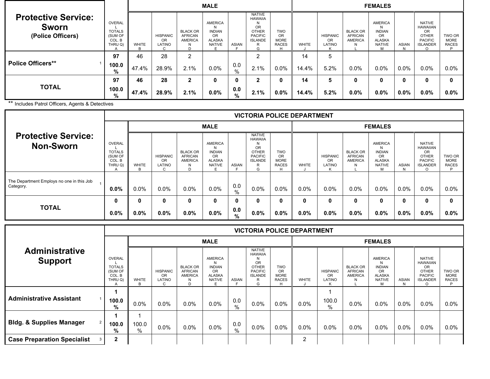|                                                                 |                                                                |                   |                                 |                                                               | <b>MALE</b>                                                                |             |                                                                                                                 |                                                      |              |                                        |                                                   | <b>FEMALES</b>                                                             |                   |                                                                                             |                                            |
|-----------------------------------------------------------------|----------------------------------------------------------------|-------------------|---------------------------------|---------------------------------------------------------------|----------------------------------------------------------------------------|-------------|-----------------------------------------------------------------------------------------------------------------|------------------------------------------------------|--------------|----------------------------------------|---------------------------------------------------|----------------------------------------------------------------------------|-------------------|---------------------------------------------------------------------------------------------|--------------------------------------------|
| <b>Protective Service:</b><br><b>Sworn</b><br>(Police Officers) | <b>OVERAL</b><br><b>TOTALS</b><br>(SUM OF<br>COL. B<br>THRU Q) | <b>WHITE</b><br>R | <b>HISPANIC</b><br>OR<br>LATINO | <b>BLACK OR</b><br><b>AFRICAN</b><br><b>AMERICA</b><br>N<br>D | AMERICA<br>N<br><b>INDIAN</b><br><b>OR</b><br>ALASKA<br><b>NATIVE</b><br>F | ASIAN       | <b>NATIVE</b><br><b>HAWAIIA</b><br>N<br><b>OR</b><br><b>OTHER</b><br><b>PACIFIC</b><br><b>ISLANDE</b><br>R<br>G | <b>TWO</b><br>OR<br><b>MORE</b><br><b>RACES</b><br>н | <b>WHITE</b> | <b>HISPANIC</b><br><b>OR</b><br>LATINO | <b>BLACK OR</b><br><b>AFRICAN</b><br>AMERICA<br>N | AMERICA<br>N<br><b>INDIAN</b><br>OR<br><b>ALASKA</b><br><b>NATIVE</b><br>M | <b>ASIAN</b><br>N | <b>NATIVE</b><br><b>HAWAIIAN</b><br>OR<br><b>OTHER</b><br><b>PACIFIC</b><br><b>ISLANDER</b> | TWO OR<br><b>MORE</b><br><b>RACES</b><br>P |
|                                                                 | 97                                                             | 46                | 28                              | 2                                                             |                                                                            |             | C                                                                                                               |                                                      | 14           | 5                                      |                                                   |                                                                            |                   |                                                                                             |                                            |
| <b>Police Officers**</b>                                        | 100.0<br>%                                                     | 47.4%             | 28.9%                           | 2.1%                                                          | $0.0\%$                                                                    | 0.0<br>$\%$ | 2.1%                                                                                                            | $0.0\%$                                              | 14.4%        | 5.2%                                   | $0.0\%$                                           | 0.0%                                                                       | $0.0\%$           | 0.0%                                                                                        | $0.0\%$                                    |
|                                                                 | 97                                                             | 46                | 28                              | $\mathbf{2}$                                                  | $\mathbf{0}$                                                               | 0           | 2                                                                                                               | O                                                    | 14           | 5                                      | 0                                                 | 0                                                                          | $\bf{0}$          | 0                                                                                           | 0                                          |
| <b>TOTAL</b>                                                    | 100.0<br>%                                                     | 47.4%             | 28.9%                           | 2.1%                                                          | $0.0\%$                                                                    | 0.0<br>%    | 2.1%                                                                                                            | $0.0\%$                                              | 14.4%        | 5.2%                                   | $0.0\%$                                           | $0.0\%$                                                                    | $0.0\%$           | $0.0\%$                                                                                     | $0.0\%$                                    |

\*\* Includes Patrol Officers, Agents & Detectives

. . . . .

|                                                        |                                                         |            |                                                    |                                                               |                                                                              |              |                                                                                                            |                                                 | <b>VICTORIA POLICE DEPARTMENT</b> |                                             |                                                          |                                                                            |                   |                                                                                                                |                                       |
|--------------------------------------------------------|---------------------------------------------------------|------------|----------------------------------------------------|---------------------------------------------------------------|------------------------------------------------------------------------------|--------------|------------------------------------------------------------------------------------------------------------|-------------------------------------------------|-----------------------------------|---------------------------------------------|----------------------------------------------------------|----------------------------------------------------------------------------|-------------------|----------------------------------------------------------------------------------------------------------------|---------------------------------------|
|                                                        |                                                         |            |                                                    |                                                               | <b>MALE</b>                                                                  |              |                                                                                                            |                                                 |                                   |                                             |                                                          | <b>FEMALES</b>                                                             |                   |                                                                                                                |                                       |
| <b>Protective Service:</b><br><b>Non-Sworn</b>         | OVERAL<br><b>TOTALS</b><br>(SUM OF<br>COL. B<br>THRU Q) | WHITE<br>R | <b>HISPANIC</b><br><b>OR</b><br>LATINO<br>$\Omega$ | <b>BLACK OR</b><br><b>AFRICAN</b><br><b>AMERICA</b><br>N<br>D | AMERICA<br>N<br><b>INDIAN</b><br><b>OR</b><br><b>ALASKA</b><br><b>NATIVE</b> | <b>ASIAN</b> | <b>NATIVE</b><br><b>HAWAIIA</b><br>N<br><b>OR</b><br><b>OTHER</b><br><b>PACIFIC</b><br><b>ISLANDE</b><br>G | <b>TWO</b><br>ΟR<br><b>MORE</b><br><b>RACES</b> | <b>WHITE</b>                      | <b>HISPANIC</b><br><b>OR</b><br>LATINO<br>K | <b>BLACK OR</b><br><b>AFRICAN</b><br><b>AMERICA</b><br>N | AMERICA<br>N<br><b>INDIAN</b><br>OR<br><b>ALASKA</b><br><b>NATIVE</b><br>м | <b>ASIAN</b><br>N | <b>NATIVE</b><br><b>HAWAIIAN</b><br><b>OR</b><br><b>OTHER</b><br><b>PACIFIC</b><br><b>ISLANDER</b><br>$\Omega$ | TWO OR<br><b>MORE</b><br><b>RACES</b> |
| The Department Employs no one in this Job<br>Category. | $0.0\%$                                                 | $0.0\%$    | 0.0%                                               | $0.0\%$                                                       | $0.0\%$                                                                      | 0.0<br>$\%$  | $0.0\%$                                                                                                    | $0.0\%$                                         | 0.0%                              | 0.0%                                        | $0.0\%$                                                  | $0.0\%$                                                                    | $0.0\%$           | 0.0%                                                                                                           | $0.0\%$                               |
|                                                        | 0                                                       | 0          | 0                                                  | 0                                                             | 0                                                                            | 0            |                                                                                                            | $\mathbf{0}$                                    | 0                                 | $\bf{0}$                                    | 0                                                        | 0                                                                          |                   | 0                                                                                                              | 0                                     |
| <b>TOTAL</b>                                           | $0.0\%$                                                 | $0.0\%$    | $0.0\%$                                            | $0.0\%$                                                       | $0.0\%$                                                                      | 0.0<br>%     | $0.0\%$                                                                                                    | $0.0\%$                                         | $0.0\%$                           | $0.0\%$                                     | $0.0\%$                                                  | $0.0\%$                                                                    | $0.0\%$           | $0.0\%$                                                                                                        | $0.0\%$                               |

|                                                       |                                                         |              |                                 |                                                               |                                                                                     |              |                                                                                                                 |                                                 | <b>VICTORIA POLICE DEPARTMENT</b> |                                 |                                                     |                                                                                          |              |                                                                                                                |                                            |
|-------------------------------------------------------|---------------------------------------------------------|--------------|---------------------------------|---------------------------------------------------------------|-------------------------------------------------------------------------------------|--------------|-----------------------------------------------------------------------------------------------------------------|-------------------------------------------------|-----------------------------------|---------------------------------|-----------------------------------------------------|------------------------------------------------------------------------------------------|--------------|----------------------------------------------------------------------------------------------------------------|--------------------------------------------|
|                                                       |                                                         |              |                                 |                                                               | <b>MALE</b>                                                                         |              |                                                                                                                 |                                                 |                                   |                                 |                                                     | <b>FEMALES</b>                                                                           |              |                                                                                                                |                                            |
| <b>Administrative</b><br><b>Support</b>               | OVERAL<br><b>TOTALS</b><br>(SUM OF<br>COL. B<br>THRU Q) | <b>WHITE</b> | <b>HISPANIC</b><br>OR<br>LATINO | <b>BLACK OR</b><br><b>AFRICAN</b><br><b>AMERICA</b><br>N<br>D | <b>AMERICA</b><br>N<br><b>INDIAN</b><br><b>OR</b><br><b>ALASKA</b><br><b>NATIVE</b> | <b>ASIAN</b> | <b>NATIVE</b><br><b>HAWAIIA</b><br>N<br><b>OR</b><br><b>OTHER</b><br><b>PACIFIC</b><br><b>ISLANDE</b><br>R<br>G | <b>TWO</b><br>OR<br><b>MORE</b><br><b>RACES</b> | <b>WHITE</b>                      | <b>HISPANIC</b><br>OR<br>LATINO | <b>BLACK OR</b><br><b>AFRICAN</b><br><b>AMERICA</b> | <b>AMERICA</b><br>N<br><b>INDIAN</b><br><b>OR</b><br><b>ALASKA</b><br><b>NATIVE</b><br>M | <b>ASIAN</b> | <b>NATIVE</b><br><b>HAWAIIAN</b><br><b>OR</b><br><b>OTHER</b><br><b>PACIFIC</b><br><b>ISLANDER</b><br>$\Omega$ | TWO OR<br><b>MORE</b><br><b>RACES</b><br>P |
| <b>Administrative Assistant</b>                       | 100.0<br>%                                              | 0.0%         | 0.0%                            | $0.0\%$                                                       | 0.0%                                                                                | 0.0<br>$\%$  | $0.0\%$                                                                                                         | $0.0\%$                                         | 0.0%                              | 100.0<br>$\%$                   | 0.0%                                                | $0.0\%$                                                                                  | $0.0\%$      | $0.0\%$                                                                                                        | $0.0\%$                                    |
| <b>Bldg. &amp; Supplies Manager</b><br>$\overline{2}$ | 100.0<br>%                                              | 100.0<br>%   | 0.0%                            | $0.0\%$                                                       | $0.0\%$                                                                             | 0.0<br>$\%$  | $0.0\%$                                                                                                         | $0.0\%$                                         | 0.0%                              | $0.0\%$                         | $0.0\%$                                             | $0.0\%$                                                                                  | $0.0\%$      | 0.0%                                                                                                           | $0.0\%$                                    |
| <b>Case Preparation Specialist</b>                    | $\mathbf{2}$                                            |              |                                 |                                                               |                                                                                     |              |                                                                                                                 |                                                 | 2                                 |                                 |                                                     |                                                                                          |              |                                                                                                                |                                            |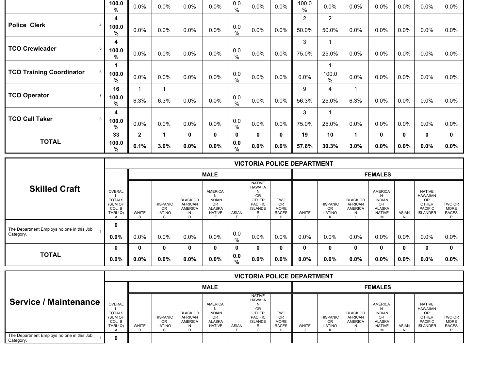|                                      | 100.0<br>$\%$ | 0.0%         | 0.0% | 0.0% | 0.0%        | 0.0<br>$\%$          | 0.0% | 0.0%         | 100.0<br>$\%$  | 0.0%          | 0.0%         | 0.0%    | 0.0%         | 0.0%    | 0.0%    |
|--------------------------------------|---------------|--------------|------|------|-------------|----------------------|------|--------------|----------------|---------------|--------------|---------|--------------|---------|---------|
|                                      | 4             |              |      |      |             |                      |      |              | $\overline{2}$ | 2             |              |         |              |         |         |
| <b>Police Clerk</b>                  | 100.0<br>%    | 0.0%         | 0.0% | 0.0% | 0.0%        | 0.0<br>$\%$          | 0.0% | 0.0%         | 50.0%          | 50.0%         | 0.0%         | 0.0%    | 0.0%         | 0.0%    | $0.0\%$ |
|                                      | 4             |              |      |      |             |                      |      |              | 3              |               |              |         |              |         |         |
| <b>TCO Crewleader</b><br>5           | 100.0<br>%    | 0.0%         | 0.0% | 0.0% | 0.0%        | 0.0<br>$\%$          | 0.0% | 0.0%         | 75.0%          | 25.0%         | 0.0%         | 0.0%    | 0.0%         | 0.0%    | $0.0\%$ |
|                                      |               |              |      |      |             |                      |      |              |                |               |              |         |              |         |         |
| <b>TCO Training Coordinator</b><br>6 | 100.0<br>%    | 0.0%         | 0.0% | 0.0% | 0.0%        | 0.0<br>$\%$          | 0.0% | $0.0\%$      | 0.0%           | 100.0<br>$\%$ | 0.0%         | 0.0%    | 0.0%         | $0.0\%$ | $0.0\%$ |
|                                      | 16            |              |      |      |             |                      |      |              | 9              | 4             | 1            |         |              |         |         |
| <b>TCO Operator</b>                  | 100.0<br>$\%$ | 6.3%         | 6.3% | 0.0% | 0.0%        | 0.0<br>$\frac{0}{0}$ | 0.0% | 0.0%         | 56.3%          | 25.0%         | 6.3%         | 0.0%    | 0.0%         | 0.0%    | $0.0\%$ |
|                                      | 4             |              |      |      |             |                      |      |              | 3              |               |              |         |              |         |         |
| <b>TCO Call Taker</b><br>8           | 100.0<br>$\%$ | 0.0%         | 0.0% | 0.0% | 0.0%        | 0.0<br>$\%$          | 0.0% | 0.0%         | 75.0%          | 25.0%         | 0.0%         | 0.0%    | 0.0%         | 0.0%    | $0.0\%$ |
|                                      | 33            | $\mathbf{2}$ | 1.   | 0    | $\mathbf 0$ | 0                    | 0    | $\mathbf{0}$ | 19             | 10            | $\mathbf{1}$ | 0       | $\mathbf{0}$ | 0       | 0       |
| <b>TOTAL</b>                         | 100.0<br>$\%$ | 6.1%         | 3.0% | 0.0% | 0.0%        | 0.0<br>$\%$          | 0.0% | 0.0%         | 57.6%          | 30.3%         | 3.0%         | $0.0\%$ | $0.0\%$      | 0.0%    | $0.0\%$ |

|                                                        |                                                         |         |                                       |                                                               |                                                                            |             |                                                                                                            |                                                        | <b>VICTORIA POLICE DEPARTMENT</b> |                                        |                                                          |                                                                                     |              |                                                                                                                |                                       |
|--------------------------------------------------------|---------------------------------------------------------|---------|---------------------------------------|---------------------------------------------------------------|----------------------------------------------------------------------------|-------------|------------------------------------------------------------------------------------------------------------|--------------------------------------------------------|-----------------------------------|----------------------------------------|----------------------------------------------------------|-------------------------------------------------------------------------------------|--------------|----------------------------------------------------------------------------------------------------------------|---------------------------------------|
|                                                        |                                                         |         |                                       |                                                               | <b>MALE</b>                                                                |             |                                                                                                            |                                                        |                                   |                                        |                                                          | <b>FEMALES</b>                                                                      |              |                                                                                                                |                                       |
| <b>Skilled Craft</b>                                   | OVERAL<br><b>TOTALS</b><br>(SUM OF<br>COL. B<br>THRU Q) | WHITE   | <b>HISPANIC</b><br>OR<br>LATINO<br>C. | <b>BLACK OR</b><br><b>AFRICAN</b><br><b>AMERICA</b><br>N<br>D | <b>AMERICA</b><br>N<br><b>INDIAN</b><br><b>OR</b><br>ALASKA<br>NATIVE<br>Е | ASIAN       | <b>NATIVE</b><br><b>HAWAIIA</b><br><b>OR</b><br><b>OTHER</b><br><b>PACIFIC</b><br><b>ISLANDE</b><br>R<br>G | <b>TWO</b><br><b>OR</b><br><b>MORE</b><br><b>RACES</b> | <b>WHITE</b>                      | <b>HISPANIC</b><br><b>OR</b><br>LATINO | <b>BLACK OR</b><br><b>AFRICAN</b><br><b>AMERICA</b><br>N | <b>AMERICA</b><br>N<br><b>INDIAN</b><br><b>OR</b><br><b>ALASKA</b><br><b>NATIVE</b> | <b>ASIAN</b> | <b>NATIVE</b><br><b>HAWAIIAN</b><br><b>OR</b><br><b>OTHER</b><br><b>PACIFIC</b><br><b>ISLANDER</b><br>$\Omega$ | TWO OR<br><b>MORE</b><br><b>RACES</b> |
| The Department Employs no one in this Job<br>Category. | 0<br>$0.0\%$                                            | $0.0\%$ | $0.0\%$                               | $0.0\%$                                                       | $0.0\%$                                                                    | 0.0<br>$\%$ | $0.0\%$                                                                                                    | $0.0\%$                                                | 0.0%                              | $0.0\%$                                | $0.0\%$                                                  | $0.0\%$                                                                             | $0.0\%$      | $0.0\%$                                                                                                        | $0.0\%$                               |
|                                                        | 0                                                       | 0       | 0                                     | 0                                                             | 0                                                                          | 0           | 0                                                                                                          |                                                        | 0                                 | 0                                      | 0                                                        |                                                                                     | 0            | 0                                                                                                              | $\mathbf{0}$                          |
| <b>TOTAL</b>                                           | $0.0\%$                                                 | $0.0\%$ | $0.0\%$                               | $0.0\%$                                                       | $0.0\%$                                                                    | 0.0<br>%    | $0.0\%$                                                                                                    | $0.0\%$                                                | 0.0%                              | $0.0\%$                                | $0.0\%$                                                  | $0.0\%$                                                                             | $0.0\%$      | $0.0\%$                                                                                                        | $0.0\%$                               |

|                                                        |                                                                |              |                                             |                                              |                                                                         |              |                                                                                                             |                                                  | <b>VICTORIA POLICE DEPARTMENT</b> |                                 |                                                     |                                                                      |              |                                                                                                    |                                       |
|--------------------------------------------------------|----------------------------------------------------------------|--------------|---------------------------------------------|----------------------------------------------|-------------------------------------------------------------------------|--------------|-------------------------------------------------------------------------------------------------------------|--------------------------------------------------|-----------------------------------|---------------------------------|-----------------------------------------------------|----------------------------------------------------------------------|--------------|----------------------------------------------------------------------------------------------------|---------------------------------------|
|                                                        |                                                                |              |                                             |                                              | <b>MALE</b>                                                             |              |                                                                                                             |                                                  |                                   |                                 |                                                     | <b>FEMALES</b>                                                       |              |                                                                                                    |                                       |
| Service / Maintenance                                  | <b>OVERAL</b><br><b>TOTALS</b><br>(SUM OF<br>COL. B<br>THRU Q) | <b>WHITE</b> | <b>HISPANIC</b><br>0 <sub>R</sub><br>LATINO | <b>BLACK OR</b><br><b>AFRICAN</b><br>AMERICA | AMERICA<br><b>INDIAN</b><br><b>OR</b><br><b>ALASKA</b><br><b>NATIVE</b> | <b>ASIAN</b> | <b>NATIVE</b><br><b>HAWAIIA</b><br>OR<br><b>OTHER</b><br><b>PACIFIC</b><br><b>ISLANDE</b><br>P<br>к.<br>ι-۱ | <b>TWO</b><br>OR.<br><b>MORE</b><br><b>RACES</b> | <b>WHITE</b>                      | <b>HISPANIC</b><br>OR<br>LATINO | <b>BLACK OR</b><br><b>AFRICAN</b><br><b>AMERICA</b> | AMERICA<br>N<br><b>INDIAN</b><br>OR.<br>ALASKA<br><b>NATIVE</b><br>м | <b>ASIAN</b> | <b>NATIVE</b><br><b>HAWAIIAN</b><br><b>OR</b><br><b>OTHER</b><br><b>PACIFIC</b><br><b>ISLANDER</b> | TWO OR<br><b>MORE</b><br><b>RACES</b> |
| The Department Employs no one in this Job<br>Category. |                                                                |              |                                             |                                              |                                                                         |              |                                                                                                             |                                                  |                                   |                                 |                                                     |                                                                      |              |                                                                                                    |                                       |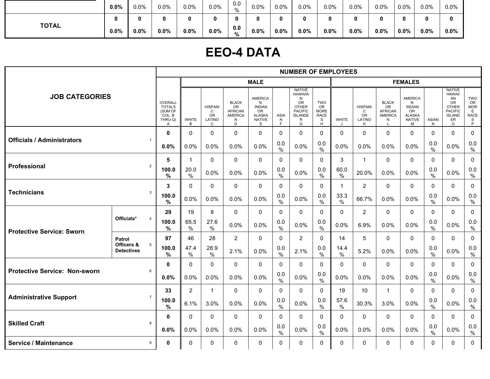|              | $0.0\%$ | 0.0%    | 0.0%    | 0.0% | 0.0% | 0.0<br>%             | 0.0% | 0.0%    | 0.0% | 0.0%    | $0.0\%$ | 0.0% | 0.0% | 0.0%    | 0.0%    |
|--------------|---------|---------|---------|------|------|----------------------|------|---------|------|---------|---------|------|------|---------|---------|
| <b>TOTAL</b> |         | 0       | 0       | o    |      |                      | o    | n       |      |         |         |      | 0    |         |         |
|              | $0.0\%$ | $0.0\%$ | $0.0\%$ | 0.0% | 0.0% | 0.0<br>$\frac{1}{2}$ | 0.0% | $0.0\%$ | 0.0% | $0.0\%$ | $0.0\%$ | 0.0% | 0.0% | $0.0\%$ | $0.0\%$ |

### **EEO-4 DATA**

|                                      |                                      |                                                                            |                   |                                                 |                                                                  |                                                                                   |                      | <b>NUMBER OF EMPLOYEES</b>                                                                               |                                                                 |              |                                                            |                                                      |                                                                            |                      |                                                                                                                       |                                                                        |
|--------------------------------------|--------------------------------------|----------------------------------------------------------------------------|-------------------|-------------------------------------------------|------------------------------------------------------------------|-----------------------------------------------------------------------------------|----------------------|----------------------------------------------------------------------------------------------------------|-----------------------------------------------------------------|--------------|------------------------------------------------------------|------------------------------------------------------|----------------------------------------------------------------------------|----------------------|-----------------------------------------------------------------------------------------------------------------------|------------------------------------------------------------------------|
|                                      |                                      |                                                                            |                   |                                                 |                                                                  | <b>MALE</b>                                                                       |                      |                                                                                                          |                                                                 |              |                                                            |                                                      | <b>FEMALES</b>                                                             |                      |                                                                                                                       |                                                                        |
| <b>JOB CATEGORIES</b>                |                                      | OVERALL<br><b>TOTALS</b><br>(SUM OF<br>COL. B<br>THRU Q)<br>$\overline{A}$ | <b>WHITE</b><br>B | <b>HISPANI</b><br>C<br><b>OR</b><br>LATINO<br>C | <b>BLACK</b><br>OR<br><b>AFRICAN</b><br><b>AMERICA</b><br>N<br>D | <b>AMERICA</b><br>N<br><b>INDIAN</b><br>OR<br><b>ALASKA</b><br><b>NATIVE</b><br>E | ASIA<br>N<br>F       | <b>NATIVE</b><br><b>HAWAIIA</b><br>N<br>OR<br><b>OTHER</b><br><b>PACIFIC</b><br><b>ISLANDE</b><br>R<br>G | <b>TWO</b><br><b>OR</b><br><b>MORE</b><br><b>RACE</b><br>S<br>H | <b>WHITE</b> | <b>HISPANI</b><br>$\mathsf{C}$<br><b>OR</b><br>LATINO<br>Κ | <b>BLACK</b><br>OR<br>AFRICAN<br><b>AMERICA</b><br>N | AMERICA<br>N<br><b>INDIAN</b><br>OR<br><b>ALASKA</b><br><b>NATIVE</b><br>M | <b>ASIAN</b><br>N    | <b>NATIVE</b><br><b>HAWAII</b><br>AN<br><b>OR</b><br><b>OTHER</b><br><b>PACIFIC</b><br><b>ISLAND</b><br>ER<br>$\circ$ | <b>TWO</b><br>OR<br><b>MOR</b><br>E<br><b>RACE</b><br>$\mathbb S$<br>P |
|                                      |                                      | $\mathbf 0$                                                                | $\Omega$          | 0                                               | $\mathbf 0$                                                      | $\mathbf 0$                                                                       | 0                    | $\mathbf 0$                                                                                              | $\mathbf 0$                                                     | $\Omega$     | 0                                                          | $\mathbf 0$                                          | $\mathbf{0}$                                                               | $\Omega$             | $\mathbf 0$                                                                                                           | $\mathbf 0$                                                            |
| <b>Officials / Administrators</b>    | $\mathbf{1}$                         | 0.0%                                                                       | 0.0%              | 0.0%                                            | 0.0%                                                             | 0.0%                                                                              | 0.0<br>$\%$          | 0.0%                                                                                                     | 0.0<br>%                                                        | 0.0%         | 0.0%                                                       | 0.0%                                                 | 0.0%                                                                       | 0.0<br>$\%$          | 0.0%                                                                                                                  | 0.0<br>$\%$                                                            |
|                                      |                                      | 5                                                                          | $\mathbf 1$       | 0                                               | $\mathbf 0$                                                      | $\mathbf 0$                                                                       | $\mathbf 0$          | $\mathbf{0}$                                                                                             | $\Omega$                                                        | 3            | $\mathbf{1}$                                               | $\mathbf 0$                                          | $\mathbf 0$                                                                | $\Omega$             | $\mathbf{0}$                                                                                                          | 0                                                                      |
| Professional                         | $\overline{2}$                       | 100.0<br>%                                                                 | 20.0<br>$\%$      | 0.0%                                            | 0.0%                                                             | 0.0%                                                                              | 0.0<br>$\%$          | 0.0%                                                                                                     | 0.0<br>%                                                        | 60.0<br>%    | 20.0%                                                      | 0.0%                                                 | 0.0%                                                                       | 0.0<br>$\%$          | 0.0%                                                                                                                  | 0.0<br>$\%$                                                            |
|                                      |                                      | 3                                                                          | $\Omega$          | $\Omega$                                        | $\mathbf 0$                                                      | $\mathbf 0$                                                                       | $\Omega$             | $\mathbf{0}$                                                                                             | $\mathbf{0}$                                                    | $\mathbf 1$  | $\overline{2}$                                             | 0                                                    | $\Omega$                                                                   | $\Omega$             | $\mathbf{0}$                                                                                                          | 0                                                                      |
| <b>Technicians</b><br>3              |                                      | 100.0<br>$\frac{0}{0}$                                                     | 0.0%              | 0.0%                                            | 0.0%                                                             | 0.0%                                                                              | 0.0<br>$\%$          | 0.0%                                                                                                     | 0.0<br>$\frac{0}{0}$                                            | 33.3<br>$\%$ | 66.7%                                                      | 0.0%                                                 | 0.0%                                                                       | 0.0<br>$\%$          | 0.0%                                                                                                                  | 0.0<br>$\frac{0}{0}$                                                   |
|                                      |                                      | 29                                                                         | 19                | 8                                               | $\mathbf{0}$                                                     | $\Omega$                                                                          | $\Omega$             | $\mathbf{0}$                                                                                             | $\Omega$                                                        | $\mathbf{0}$ | $\overline{2}$                                             | $\mathbf 0$                                          | $\mathbf{0}$                                                               | $\Omega$             | $\mathbf{0}$                                                                                                          | 0                                                                      |
| <b>Protective Service: Sworn</b>     | Officials*<br>$\overline{4}$         | 100.0<br>%                                                                 | 65.5<br>%         | 27.6<br>$\%$                                    | 0.0%                                                             | 0.0%                                                                              | 0.0<br>$\%$          | 0.0%                                                                                                     | 0.0<br>$\%$                                                     | 0.0%         | 6.9%                                                       | 0.0%                                                 | 0.0%                                                                       | 0.0<br>$\frac{0}{0}$ | 0.0%                                                                                                                  | 0.0<br>$\%$                                                            |
|                                      | Patrol                               | 97                                                                         | 46                | 28                                              | $\overline{2}$                                                   | 0                                                                                 | $\Omega$             | $\overline{2}$                                                                                           | $\mathbf{0}$                                                    | 14           | 5                                                          | $\mathbf 0$                                          | $\mathbf{0}$                                                               | $\Omega$             | $\mathbf 0$                                                                                                           | 0                                                                      |
|                                      | Officers &<br>5<br><b>Detectives</b> | 100.0<br>%                                                                 | 47.4<br>$\%$      | 28.9<br>$\frac{0}{0}$                           | 2.1%                                                             | 0.0%                                                                              | 0.0<br>$\%$          | 2.1%                                                                                                     | 0.0<br>$\%$                                                     | 14.4<br>%    | 5.2%                                                       | 0.0%                                                 | 0.0%                                                                       | 0.0<br>$\frac{0}{0}$ | 0.0%                                                                                                                  | 0.0<br>$\%$                                                            |
| <b>Protective Service: Non-sworn</b> |                                      | $\mathbf{0}$                                                               | $\Omega$          | $\Omega$                                        | $\mathbf 0$                                                      | $\mathbf{0}$                                                                      | $\Omega$             | $\mathbf{0}$                                                                                             | $\mathbf{0}$                                                    | $\mathbf{0}$ | $\mathbf{0}$                                               | $\mathbf 0$                                          | $\mathbf{0}$                                                               | $\mathbf{0}$         | $\mathbf{0}$                                                                                                          | $\Omega$                                                               |
|                                      | 6                                    | 0.0%                                                                       | 0.0%              | 0.0%                                            | 0.0%                                                             | 0.0%                                                                              | 0.0<br>$\frac{0}{0}$ | 0.0%                                                                                                     | 0.0<br>$\%$                                                     | 0.0%         | 0.0%                                                       | 0.0%                                                 | 0.0%                                                                       | 0.0<br>$\frac{0}{0}$ | 0.0%                                                                                                                  | 0.0<br>$\%$                                                            |
|                                      | $\overline{7}$                       | 33                                                                         | $\overline{2}$    | 1                                               | $\Omega$                                                         | $\Omega$                                                                          | $\Omega$             | $\mathbf{0}$                                                                                             | $\Omega$                                                        | 19           | 10                                                         | $\mathbf 1$                                          | $\Omega$                                                                   | $\Omega$             | $\mathbf{0}$                                                                                                          | 0                                                                      |
| <b>Administrative Support</b>        |                                      | 100.0<br>%                                                                 | 6.1%              | 3.0%                                            | 0.0%                                                             | 0.0%                                                                              | 0.0<br>$\%$          | 0.0%                                                                                                     | 0.0<br>$\frac{0}{0}$                                            | 57.6<br>$\%$ | 30.3%                                                      | 3.0%                                                 | 0.0%                                                                       | 0.0<br>$\%$          | 0.0%                                                                                                                  | 0.0<br>$\%$                                                            |
| <b>Skilled Craft</b>                 |                                      | $\mathbf 0$                                                                | $\Omega$          | 0                                               | 0                                                                | $\mathbf 0$                                                                       | $\mathbf 0$          | $\mathbf 0$                                                                                              | $\Omega$                                                        | $\Omega$     | 0                                                          | $\mathbf 0$                                          | $\Omega$                                                                   | $\Omega$             | $\mathbf{0}$                                                                                                          | $\mathbf 0$                                                            |
|                                      | 8                                    | 0.0%                                                                       | 0.0%              | 0.0%                                            | 0.0%                                                             | 0.0%                                                                              | 0.0<br>$\%$          | 0.0%                                                                                                     | 0.0<br>$\%$                                                     | 0.0%         | 0.0%                                                       | 0.0%                                                 | 0.0%                                                                       | 0.0<br>$\frac{0}{0}$ | 0.0%                                                                                                                  | $0.0\,$<br>$\%$                                                        |
| <b>Service / Maintenance</b>         | 9                                    | 0                                                                          | $\mathbf 0$       | 0                                               | 0                                                                | 0                                                                                 | $\mathbf 0$          | $\mathbf 0$                                                                                              | $\mathbf{0}$                                                    | 0            | 0                                                          | 0                                                    | 0                                                                          | $\Omega$             | $\mathbf 0$                                                                                                           | 0                                                                      |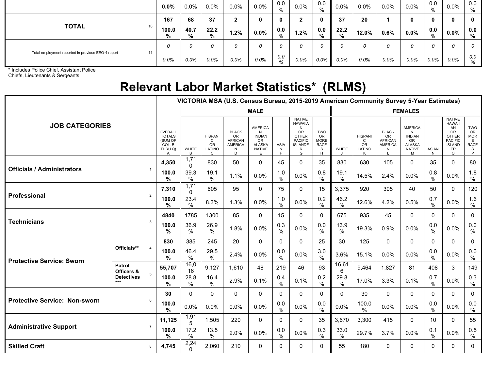|                                                          | 0.0%       | $0.0\%$   | 0.0%      | $0.0\%$ | $0.0\%$ | 0.0<br>%    | 0.0% | 0.0<br>%     | $0.0\%$   | $0.0\%$ | $0.0\%$ | $0.0\%$ | 0.0<br>% | 0.0%    | 0.0<br>% |
|----------------------------------------------------------|------------|-----------|-----------|---------|---------|-------------|------|--------------|-----------|---------|---------|---------|----------|---------|----------|
|                                                          | 167        | 68        | 37        | ◢       | 0       | 0           | ົ    | $\mathbf{0}$ | 37        | 20      |         | 0       |          |         | 0        |
| <b>TOTAL</b><br>10                                       | 100.0<br>% | 40.7<br>% | 22.2<br>% | $1.2\%$ | $0.0\%$ | 0.0<br>$\%$ | 1.2% | 0.0<br>%     | 22.2<br>% | 12.0%   | 0.6%    | $0.0\%$ | 0.0<br>% | $0.0\%$ | 0.0<br>% |
|                                                          |            |           | 0         | 0       | 0       |             |      |              |           | 0       | 0       |         |          |         |          |
| Total employment reported in previous EEO-4 report<br>11 | $0.0\%$    | 0.0%      | $0.0\%$   | $0.0\%$ | 0.0%    | 0.0<br>%    | 0.0% | 0.0%         | 0.0%      | $0.0\%$ | 0.0%    | 0.0%    | $0.0\%$  | $0.0\%$ | 0.0<br>% |

\* Includes Police Chief, Assistant Police

Chiefs, Lieutenants & Sergeants

### **Relevant Labor Market Statistics\* (RLMS)**

|                                      | VICTORIA MSA (U.S. Census Bureau, 2015-2019 American Community Survey 5-Year Estimates) |                   |                                                 |                                                                         |                                                                                          |                        |                                                                                                                 |                                                                 |                      |                                                     |                                                                    |                                                                                          |                      |                                                                                                                |                                                                  |                      |
|--------------------------------------|-----------------------------------------------------------------------------------------|-------------------|-------------------------------------------------|-------------------------------------------------------------------------|------------------------------------------------------------------------------------------|------------------------|-----------------------------------------------------------------------------------------------------------------|-----------------------------------------------------------------|----------------------|-----------------------------------------------------|--------------------------------------------------------------------|------------------------------------------------------------------------------------------|----------------------|----------------------------------------------------------------------------------------------------------------|------------------------------------------------------------------|----------------------|
|                                      |                                                                                         |                   |                                                 |                                                                         | <b>MALE</b>                                                                              |                        |                                                                                                                 |                                                                 | <b>FEMALES</b>       |                                                     |                                                                    |                                                                                          |                      |                                                                                                                |                                                                  |                      |
| <b>JOB CATEGORIES</b>                | OVERALL<br><b>TOTALS</b><br>(SUM OF<br>COL. B<br>THRU Q)<br>A                           | <b>WHITE</b><br>B | <b>HISPANI</b><br>C<br><b>OR</b><br>LATINO<br>C | <b>BLACK</b><br><b>OR</b><br><b>AFRICAN</b><br><b>AMERICA</b><br>N<br>D | <b>AMERICA</b><br>N<br><b>INDIAN</b><br><b>OR</b><br><b>ALASKA</b><br><b>NATIVE</b><br>E | <b>ASIA</b><br>N<br>F. | <b>NATIVE</b><br><b>HAWAIIA</b><br>N<br><b>OR</b><br><b>OTHER</b><br><b>PACIFIC</b><br><b>ISLANDE</b><br>R<br>G | <b>TWO</b><br><b>OR</b><br><b>MORE</b><br><b>RACE</b><br>S<br>H | <b>WHITE</b>         | <b>HISPANI</b><br>$\mathsf{C}$<br>OR<br>LATINO<br>K | <b>BLACK</b><br><b>OR</b><br><b>AFRICAN</b><br><b>AMERICA</b><br>N | <b>AMERICA</b><br>N<br><b>INDIAN</b><br><b>OR</b><br><b>ALASKA</b><br><b>NATIVE</b><br>M | <b>ASIAN</b><br>N    | <b>NATIVE</b><br>HAWAII<br>AN<br><b>OR</b><br><b>OTHER</b><br><b>PACIFIC</b><br><b>ISLAND</b><br>ER<br>$\circ$ | TWO<br>OR<br><b>MOR</b><br>E<br><b>RACE</b><br>S<br>$\mathsf{P}$ |                      |
|                                      | 4,350                                                                                   | 1,71<br>0         | 830                                             | 50                                                                      | $\mathbf{0}$                                                                             | 45                     | $\Omega$                                                                                                        | 35                                                              | 830                  | 630                                                 | 105                                                                | $\Omega$                                                                                 | 35                   | $\Omega$                                                                                                       | 80                                                               |                      |
| <b>Officials / Administrators</b>    | 100.0<br>%                                                                              | 39.3<br>%         | 19.1<br>$\%$                                    | 1.1%                                                                    | 0.0%                                                                                     | 1.0<br>%               | 0.0%                                                                                                            | 0.8<br>$\frac{0}{0}$                                            | 19.1<br>$\%$         | 14.5%                                               | 2.4%                                                               | $0.0\%$                                                                                  | 0.8<br>$\frac{0}{6}$ | 0.0%                                                                                                           | 1.8<br>$\%$                                                      |                      |
|                                      | 7,310                                                                                   | 1,71<br>0         | 605                                             | 95                                                                      | 0                                                                                        | 75                     | 0                                                                                                               | 15                                                              | 3,375                | 920                                                 | 305                                                                | 40                                                                                       | 50                   | $\mathbf{0}$                                                                                                   | 120                                                              |                      |
| Professional                         | 100.0<br>%                                                                              | 23.4<br>$\%$      | 8.3%                                            | 1.3%                                                                    | 0.0%                                                                                     | 1.0<br>$\%$            | 0.0%                                                                                                            | 0.2<br>$\%$                                                     | 46.2<br>$\%$         | 12.6%                                               | 4.2%                                                               | 0.5%                                                                                     | 0.7<br>$\frac{0}{0}$ | 0.0%                                                                                                           | 1.6<br>$\%$                                                      |                      |
|                                      | 4840                                                                                    | 1785              | 1300                                            | 85                                                                      | $\mathbf 0$                                                                              | 15                     | $\Omega$                                                                                                        | $\Omega$                                                        | 675                  | 935                                                 | 45                                                                 | 0                                                                                        | $\Omega$             | $\mathbf{0}$                                                                                                   | $\mathbf 0$                                                      |                      |
| <b>Technicians</b>                   | 100.0<br>%                                                                              | 36.9<br>$\%$      | 26.9<br>$\%$                                    | 1.8%                                                                    | 0.0%                                                                                     | 0.3<br>$\%$            | 0.0%                                                                                                            | 0.0<br>$\%$                                                     | 13.9<br>$\%$         | 19.3%                                               | 0.9%                                                               | 0.0%                                                                                     | 0.0<br>$\frac{0}{0}$ | 0.0%                                                                                                           | 0.0<br>$\%$                                                      |                      |
|                                      |                                                                                         | 830               | 385                                             | 245                                                                     | 20                                                                                       | $\mathbf{0}$           | $\mathbf{0}$                                                                                                    | $\mathbf{0}$                                                    | 25                   | 30                                                  | 125                                                                | $\mathbf 0$                                                                              | $\Omega$             | $\Omega$                                                                                                       | $\Omega$                                                         | $\mathbf 0$          |
| <b>Protective Service: Sworn</b>     | Officials**<br>$\Delta$                                                                 | 100.0<br>%        | 46.4<br>$\%$                                    | 29.5<br>$\frac{0}{0}$                                                   | 2.4%                                                                                     | 0.0%                   | 0.0<br>$\%$                                                                                                     | 0.0%                                                            | 3.0<br>$\frac{0}{6}$ | 3.6%                                                | 15.1%                                                              | 0.0%                                                                                     | 0.0%                 | 0.0<br>$\%$                                                                                                    | 0.0%                                                             | 0.0<br>$\frac{0}{0}$ |
|                                      | Patrol<br>Officers &                                                                    | 55,707            | 16,0<br>16                                      | 9,127                                                                   | 1,610                                                                                    | 48                     | 219                                                                                                             | 46                                                              | 93                   | 16,61<br>6                                          | 9,464                                                              | 1,827                                                                                    | 81                   | 408                                                                                                            | 3                                                                | 149                  |
|                                      | 5<br><b>Detectives</b><br>$***$                                                         | 100.0<br>%        | 28.8<br>%                                       | 16.4<br>$\%$                                                            | 2.9%                                                                                     | 0.1%                   | 0.4<br>%                                                                                                        | 0.1%                                                            | 0.2<br>$\%$          | 29.8<br>$\%$                                        | 17.0%                                                              | 3.3%                                                                                     | 0.1%                 | 0.7<br>$\frac{0}{6}$                                                                                           | 0.0%                                                             | 0.3<br>$\%$          |
|                                      | 30                                                                                      | 0                 | $\Omega$                                        | $\mathbf 0$                                                             | 0                                                                                        | $\mathbf{0}$           | 0                                                                                                               | $\mathbf{0}$                                                    | $\Omega$             | 30                                                  | $\mathbf 0$                                                        | $\mathbf{0}$                                                                             | $\mathbf{0}$         | $\mathbf{0}$                                                                                                   | $\mathbf 0$                                                      |                      |
| <b>Protective Service: Non-sworn</b> | 100.0<br>%                                                                              | 0.0%              | 0.0%                                            | 0.0%                                                                    | 0.0%                                                                                     | 0.0<br>%               | 0.0%                                                                                                            | 0.0<br>$\%$                                                     | 0.0%                 | 100.0<br>$\%$                                       | 0.0%                                                               | 0.0%                                                                                     | 0.0<br>$\frac{0}{6}$ | 0.0%                                                                                                           | 0.0<br>$\%$                                                      |                      |
|                                      | 11,125                                                                                  | 1,91<br>5         | 1,505                                           | 220                                                                     | $\mathbf 0$                                                                              | $\mathbf{0}$           | $\Omega$                                                                                                        | 35                                                              | 3,670                | 3,300                                               | 415                                                                | $\mathbf{0}$                                                                             | 10                   | $\Omega$                                                                                                       | 55                                                               |                      |
| <b>Administrative Support</b>        | 100.0<br>%                                                                              | 17.2<br>$\%$      | 13.5<br>$\%$                                    | 2.0%                                                                    | 0.0%                                                                                     | 0.0<br>$\frac{0}{0}$   | 0.0%                                                                                                            | 0.3<br>$\%$                                                     | 33.0<br>$\%$         | 29.7%                                               | 3.7%                                                               | 0.0%                                                                                     | 0.1<br>$\frac{0}{6}$ | 0.0%                                                                                                           | 0.5<br>$\%$                                                      |                      |
| <b>Skilled Craft</b>                 | 4,745                                                                                   | 2,24              | 2,060                                           | 210                                                                     | $\mathbf{0}$                                                                             | $\Omega$               | $\Omega$                                                                                                        | $\Omega$                                                        | 55                   | 180                                                 | $\mathbf 0$                                                        | 0                                                                                        | $\Omega$             | $\mathbf{0}$                                                                                                   | $\Omega$                                                         |                      |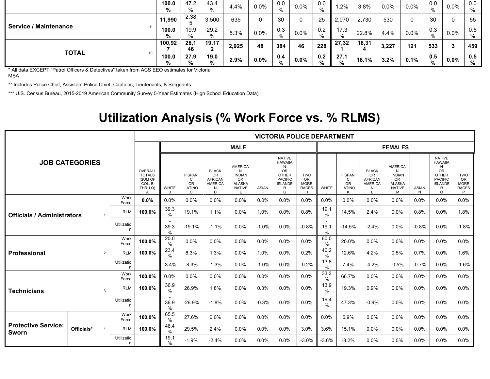|                                 | 100.0<br>% | 47.2<br>%  | 43.4<br>% | 4.4%  | $0.0\%$ | 0.0<br>$\%$ | 0.0%    | 0.0<br>% | .2%       | 3.8%       | $0.0\%$ | 0.0%    | 0.0<br>%    | 0.0%    | 0.0<br>% |
|---------------------------------|------------|------------|-----------|-------|---------|-------------|---------|----------|-----------|------------|---------|---------|-------------|---------|----------|
|                                 | 11,990     | 2,38       | 3,500     | 635   | 0       | 30          | 0       | 25       | 2,070     | 2,730      | 530     | 0       | 30          | 0       | 55       |
| <b>Service / Maintenance</b>    | 100.0<br>% | 19.9<br>%  | 29.2<br>% | 5.3%  | $0.0\%$ | 0.3<br>%    | $0.0\%$ | 0.2<br>% | 17.3      | 22.8%      | 4.4%    | $0.0\%$ | 0.3<br>$\%$ | $0.0\%$ | 0.5<br>% |
|                                 | 100,92     | 28,1<br>46 | 19,17     | 2,925 | 48      | 384         | 46      | 228      | 27,32     | 18,31<br>4 | 3,227   | 121     | 533         | 3       | 459      |
| <b>TOTAL</b><br>10 <sub>1</sub> | 100.0<br>% | 27.9<br>%  | 19.0<br>% | 2.9%  | $0.0\%$ | 0.4<br>%    | $0.0\%$ | 0.2<br>% | 27.1<br>% | 18.1%      | $3.2\%$ | 0.1%    | 0.5<br>%    | $0.0\%$ | 0.5<br>% |

\* All data EXCEPT "Patrol Officers & Detectives" taken from ACS EEO estimates for Victoria MSA

\*\* Includes Police Chief, Assistant Police Chief, Captains, Lieutenants, & Sergeants

\*\*\* U.S. Census Bureau, 2015-2019 American Community Survey 5-Year Estimates (High School Education Data)

### **Utilization Analysis (% Work Force vs. % RLMS)**

|                                     |            |                |                 |                                                                                   |                                          |                                                 | <b>VICTORIA POLICE DEPARTMENT</b>                                       |                                                                                    |                    |                                                                                                                 |                                                       |              |                                                 |                                                                    |                                                                                          |                   |                                                                                                                        |                                                             |
|-------------------------------------|------------|----------------|-----------------|-----------------------------------------------------------------------------------|------------------------------------------|-------------------------------------------------|-------------------------------------------------------------------------|------------------------------------------------------------------------------------|--------------------|-----------------------------------------------------------------------------------------------------------------|-------------------------------------------------------|--------------|-------------------------------------------------|--------------------------------------------------------------------|------------------------------------------------------------------------------------------|-------------------|------------------------------------------------------------------------------------------------------------------------|-------------------------------------------------------------|
| <b>JOB CATEGORIES</b>               |            |                |                 |                                                                                   |                                          |                                                 | <b>MALE</b>                                                             |                                                                                    | <b>FEMALES</b>     |                                                                                                                 |                                                       |              |                                                 |                                                                    |                                                                                          |                   |                                                                                                                        |                                                             |
|                                     |            |                |                 | <b>OVERALL</b><br><b>TOTALS</b><br>(SUM OF<br>COL. B<br>THRU Q)<br>$\overline{A}$ | <b>WHITE</b><br>B                        | <b>HISPANI</b><br>C<br><b>OR</b><br>LATINO<br>C | <b>BLACK</b><br><b>OR</b><br><b>AFRICAN</b><br><b>AMERICA</b><br>N<br>D | <b>AMERICA</b><br>N<br><b>INDIAN</b><br>OR.<br><b>ALASKA</b><br><b>NATIVE</b><br>E | <b>ASIAN</b><br>F. | <b>NATIVE</b><br><b>HAWAIIA</b><br>N<br><b>OR</b><br><b>OTHER</b><br><b>PACIFIC</b><br><b>ISLANDE</b><br>R<br>G | <b>TWO</b><br>OR.<br><b>MORE</b><br><b>RACES</b><br>H | <b>WHITE</b> | <b>HISPANI</b><br>C<br><b>OR</b><br>LATINO<br>К | <b>BLACK</b><br><b>OR</b><br><b>AFRICAN</b><br><b>AMERICA</b><br>N | <b>AMERICA</b><br>N<br><b>INDIAN</b><br><b>OR</b><br><b>ALASKA</b><br><b>NATIVE</b><br>M | <b>ASIAN</b><br>N | <b>NATIVE</b><br><b>HAWAIIA</b><br>N<br><b>OR</b><br><b>OTHER</b><br><b>PACIFIC</b><br><b>ISLANDE</b><br>R<br>$\Omega$ | <b>TWO</b><br><b>OR</b><br><b>MORE</b><br><b>RACES</b><br>P |
|                                     |            |                | Work<br>Force   | 0.0%                                                                              | 0.0%                                     | 0.0%                                            | 0.0%                                                                    | 0.0%                                                                               | 0.0%               | 0.0%                                                                                                            | 0.0%                                                  | 0.0%         | 0.0%                                            | 0.0%                                                               | 0.0%                                                                                     | 0.0%              | 0.0%                                                                                                                   | 0.0%                                                        |
| <b>Officials / Administrators</b>   |            |                | <b>RLM</b>      | 100.0%                                                                            | 39.3<br>$\%$                             | 19.1%                                           | 1.1%                                                                    | 0.0%                                                                               | 1.0%               | 0.0%                                                                                                            | 0.8%                                                  | 19.1<br>$\%$ | 14.5%                                           | 2.4%                                                               | 0.0%                                                                                     | 0.8%              | 0.0%                                                                                                                   | 1.8%                                                        |
|                                     |            |                | Utilizatio<br>n |                                                                                   | 39.3<br>$\%$                             | $-19.1%$                                        | $-1.1%$                                                                 | 0.0%                                                                               | $-1.0%$            | 0.0%                                                                                                            | $-0.8%$                                               | 19.1<br>$\%$ | $-14.5%$                                        | $-2.4%$                                                            | 0.0%                                                                                     | $-0.8%$           | 0.0%                                                                                                                   | $-1.8%$                                                     |
|                                     |            | Work<br>Force  | 100.0%          | 20.0<br>$\frac{0}{0}$                                                             | 0.0%                                     | 0.0%                                            | 0.0%                                                                    | 0.0%                                                                               | 0.0%               | 0.0%                                                                                                            | 60.0<br>$\frac{0}{0}$                                 | 20.0%        | 0.0%                                            | 0.0%                                                               | 0.0%                                                                                     | 0.0%              | 0.0%                                                                                                                   |                                                             |
| Professional                        |            | $\overline{2}$ | <b>RLM</b>      | 100.0%                                                                            | 23.4<br>%                                | 8.3%                                            | 1.3%                                                                    | 0.0%                                                                               | 1.0%               | 0.0%                                                                                                            | 0.2%                                                  | 46.2<br>$\%$ | 12.6%                                           | 4.2%                                                               | 0.5%                                                                                     | 0.7%              | 0.0%                                                                                                                   | 1.6%                                                        |
|                                     |            |                | Utilizatio      |                                                                                   | $-3.4%$                                  | $-8.3%$                                         | $-1.3%$                                                                 | 0.0%                                                                               | $-1.0%$            | 0.0%                                                                                                            | $-0.2%$                                               | 13.8<br>$\%$ | 7.4%                                            | $-4.2%$                                                            | $-0.5%$                                                                                  | $-0.7%$           | 0.0%                                                                                                                   | $-1.6%$                                                     |
|                                     |            |                | Work<br>Force   | 100.0%                                                                            | 0.0%                                     | 0.0%                                            | 0.0%                                                                    | 0.0%                                                                               | 0.0%               | 0.0%                                                                                                            | 0.0%                                                  | 33.3<br>$\%$ | 66.7%                                           | 0.0%                                                               | 0.0%                                                                                     | 0.0%              | 0.0%                                                                                                                   | 0.0%                                                        |
| <b>Technicians</b>                  |            | 3              | <b>RLM</b>      | 100.0%                                                                            | 36.9<br>$\%$                             | 26.9%                                           | 1.8%                                                                    | 0.0%                                                                               | 0.3%               | 0.0%                                                                                                            | 0.0%                                                  | 13.9<br>$\%$ | 19.3%                                           | 0.9%                                                               | 0.0%                                                                                     | 0.0%              | 0.0%                                                                                                                   | 0.0%                                                        |
|                                     |            |                | Utilizatio<br>n |                                                                                   | $\overline{\phantom{a}}$<br>36.9<br>$\%$ | $-26.9%$                                        | $-1.8%$                                                                 | 0.0%                                                                               | $-0.3%$            | 0.0%                                                                                                            | 0.0%                                                  | 19.4<br>$\%$ | 47.3%                                           | $-0.9%$                                                            | 0.0%                                                                                     | 0.0%              | 0.0%                                                                                                                   | 0.0%                                                        |
| <b>Protective Service:</b><br>Sworn |            |                | Work<br>Force   | 100.0%                                                                            | 65.5<br>$\%$                             | 27.6%                                           | 0.0%                                                                    | 0.0%                                                                               | 0.0%               | 0.0%                                                                                                            | 0.0%                                                  | 0.0%         | 6.9%                                            | 0.0%                                                               | 0.0%                                                                                     | 0.0%              | 0.0%                                                                                                                   | 0.0%                                                        |
|                                     | Officials* | $\overline{4}$ | <b>RLM</b>      | 100.0%                                                                            | 46.4<br>$\%$                             | 29.5%                                           | 2.4%                                                                    | 0.0%                                                                               | 0.0%               | 0.0%                                                                                                            | 3.0%                                                  | 3.6%         | 15.1%                                           | 0.0%                                                               | 0.0%                                                                                     | 0.0%              | 0.0%                                                                                                                   | 0.0%                                                        |
|                                     |            |                | Utilizatio<br>n |                                                                                   | 19.1<br>$\%$                             | $-1.9%$                                         | $-2.4%$                                                                 | 0.0%                                                                               | 0.0%               | 0.0%                                                                                                            | $-3.0%$                                               | $-3.6%$      | $-8.2%$                                         | 0.0%                                                               | 0.0%                                                                                     | 0.0%              | 0.0%                                                                                                                   | 0.0%                                                        |